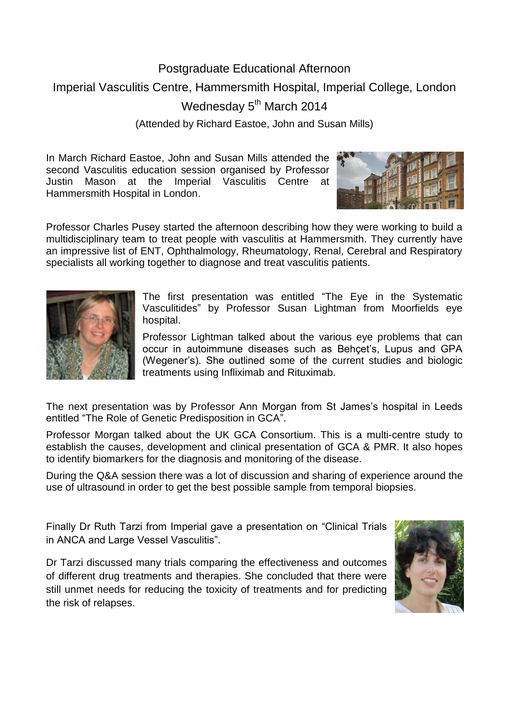## Postgraduate Educational Afternoon Imperial Vasculitis Centre, Hammersmith Hospital, Imperial College, London Wednesday 5<sup>th</sup> March 2014 (Attended by Richard Eastoe, John and Susan Mills)

In March Richard Eastoe, John and Susan Mills attended the second Vasculitis education session organised by Professor Justin Mason at the Imperial Vasculitis Centre at Hammersmith Hospital in London.



Professor Charles Pusey started the afternoon describing how they were working to build a multidisciplinary team to treat people with vasculitis at Hammersmith. They currently have an impressive list of ENT, Ophthalmology, Rheumatology, Renal, Cerebral and Respiratory specialists all working together to diagnose and treat vasculitis patients.



The first presentation was entitled "The Eye in the Systematic Vasculitides" by Professor Susan Lightman from Moorfields eye hospital.

Professor Lightman talked about the various eye problems that can occur in autoimmune diseases such as Behçet's, Lupus and GPA (Wegener's). She outlined some of the current studies and biologic treatments using Infliximab and Rituximab.

The next presentation was by Professor Ann Morgan from St James's hospital in Leeds entitled "The Role of Genetic Predisposition in GCA".

Professor Morgan talked about the UK GCA Consortium. This is a multi-centre study to establish the causes, development and clinical presentation of GCA & PMR. It also hopes to identify biomarkers for the diagnosis and monitoring of the disease.

During the Q&A session there was a lot of discussion and sharing of experience around the use of ultrasound in order to get the best possible sample from temporal biopsies.

Finally Dr Ruth Tarzi from Imperial gave a presentation on "Clinical Trials in ANCA and Large Vessel Vasculitis".

Dr Tarzi discussed many trials comparing the effectiveness and outcomes of different drug treatments and therapies. She concluded that there were still unmet needs for reducing the toxicity of treatments and for predicting the risk of relapses.